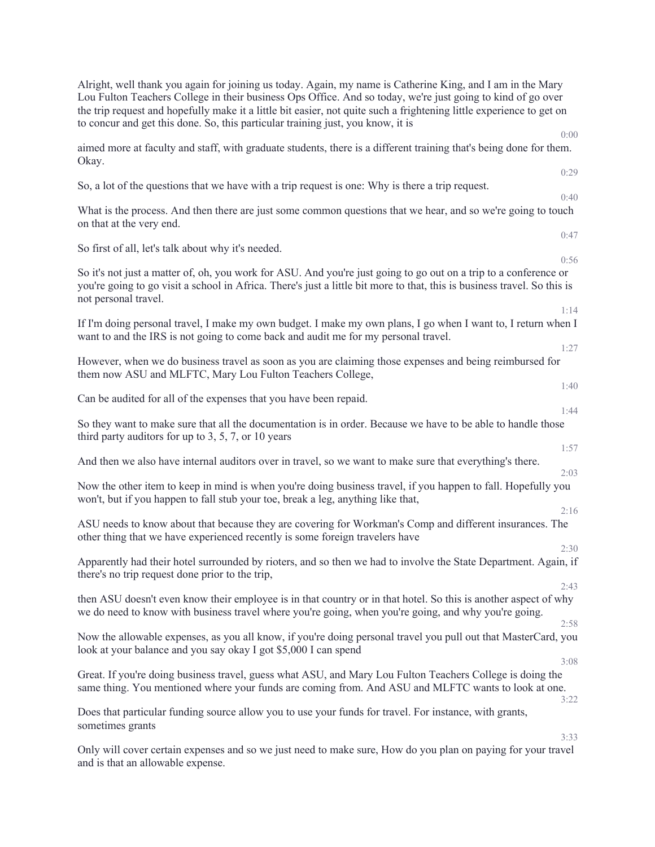| Alright, well thank you again for joining us today. Again, my name is Catherine King, and I am in the Mary<br>Lou Fulton Teachers College in their business Ops Office. And so today, we're just going to kind of go over<br>the trip request and hopefully make it a little bit easier, not quite such a frightening little experience to get on<br>to concur and get this done. So, this particular training just, you know, it is<br>0:00 |
|----------------------------------------------------------------------------------------------------------------------------------------------------------------------------------------------------------------------------------------------------------------------------------------------------------------------------------------------------------------------------------------------------------------------------------------------|
| aimed more at faculty and staff, with graduate students, there is a different training that's being done for them.<br>Okay.                                                                                                                                                                                                                                                                                                                  |
| 0:29<br>So, a lot of the questions that we have with a trip request is one: Why is there a trip request.<br>0:40                                                                                                                                                                                                                                                                                                                             |
| What is the process. And then there are just some common questions that we hear, and so we're going to touch<br>on that at the very end.                                                                                                                                                                                                                                                                                                     |
| 0:47<br>So first of all, let's talk about why it's needed.<br>0:56                                                                                                                                                                                                                                                                                                                                                                           |
| So it's not just a matter of, oh, you work for ASU. And you're just going to go out on a trip to a conference or<br>you're going to go visit a school in Africa. There's just a little bit more to that, this is business travel. So this is<br>not personal travel.                                                                                                                                                                         |
| 1:14<br>If I'm doing personal travel, I make my own budget. I make my own plans, I go when I want to, I return when I<br>want to and the IRS is not going to come back and audit me for my personal travel.<br>1:27                                                                                                                                                                                                                          |
| However, when we do business travel as soon as you are claiming those expenses and being reimbursed for<br>them now ASU and MLFTC, Mary Lou Fulton Teachers College,                                                                                                                                                                                                                                                                         |
| 1:40<br>Can be audited for all of the expenses that you have been repaid.<br>1:44                                                                                                                                                                                                                                                                                                                                                            |
| So they want to make sure that all the documentation is in order. Because we have to be able to handle those<br>third party auditors for up to $3, 5, 7$ , or 10 years                                                                                                                                                                                                                                                                       |
| 1:57<br>And then we also have internal auditors over in travel, so we want to make sure that everything's there.<br>2:03                                                                                                                                                                                                                                                                                                                     |
| Now the other item to keep in mind is when you're doing business travel, if you happen to fall. Hopefully you<br>won't, but if you happen to fall stub your toe, break a leg, anything like that,                                                                                                                                                                                                                                            |
| 2:16<br>ASU needs to know about that because they are covering for Workman's Comp and different insurances. The<br>other thing that we have experienced recently is some foreign travelers have                                                                                                                                                                                                                                              |
| 2:30<br>Apparently had their hotel surrounded by rioters, and so then we had to involve the State Department. Again, if<br>there's no trip request done prior to the trip,                                                                                                                                                                                                                                                                   |
| 2:43<br>then ASU doesn't even know their employee is in that country or in that hotel. So this is another aspect of why<br>we do need to know with business travel where you're going, when you're going, and why you're going.<br>2:58                                                                                                                                                                                                      |
| Now the allowable expenses, as you all know, if you're doing personal travel you pull out that MasterCard, you<br>look at your balance and you say okay I got \$5,000 I can spend                                                                                                                                                                                                                                                            |
| 3:08<br>Great. If you're doing business travel, guess what ASU, and Mary Lou Fulton Teachers College is doing the<br>same thing. You mentioned where your funds are coming from. And ASU and MLFTC wants to look at one.                                                                                                                                                                                                                     |
| 3:22<br>Does that particular funding source allow you to use your funds for travel. For instance, with grants,<br>sometimes grants                                                                                                                                                                                                                                                                                                           |
| 3:33<br>Only will cover certain expenses and so we just need to make sure, How do you plan on paying for your travel<br>and is that an allowable expense.                                                                                                                                                                                                                                                                                    |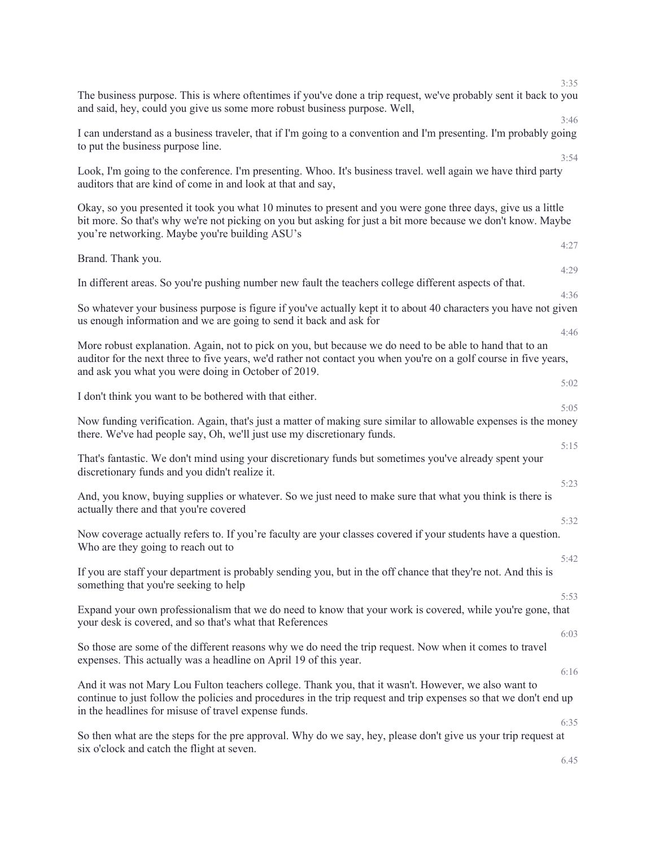| 3:35                                                                                                                                                                                                                                                                                      |
|-------------------------------------------------------------------------------------------------------------------------------------------------------------------------------------------------------------------------------------------------------------------------------------------|
| The business purpose. This is where oftentimes if you've done a trip request, we've probably sent it back to you<br>and said, hey, could you give us some more robust business purpose. Well,<br>3:46                                                                                     |
| I can understand as a business traveler, that if I'm going to a convention and I'm presenting. I'm probably going<br>to put the business purpose line.                                                                                                                                    |
| 3:54<br>Look, I'm going to the conference. I'm presenting. Whoo. It's business travel. well again we have third party<br>auditors that are kind of come in and look at that and say,                                                                                                      |
| Okay, so you presented it took you what 10 minutes to present and you were gone three days, give us a little<br>bit more. So that's why we're not picking on you but asking for just a bit more because we don't know. Maybe<br>you're networking. Maybe you're building ASU's            |
| 4:27<br>Brand. Thank you.                                                                                                                                                                                                                                                                 |
| 4:29<br>In different areas. So you're pushing number new fault the teachers college different aspects of that.                                                                                                                                                                            |
| 4:36<br>So whatever your business purpose is figure if you've actually kept it to about 40 characters you have not given<br>us enough information and we are going to send it back and ask for<br>4:46                                                                                    |
| More robust explanation. Again, not to pick on you, but because we do need to be able to hand that to an<br>auditor for the next three to five years, we'd rather not contact you when you're on a golf course in five years,<br>and ask you what you were doing in October of 2019.      |
| 5:02<br>I don't think you want to be bothered with that either.                                                                                                                                                                                                                           |
| 5:05<br>Now funding verification. Again, that's just a matter of making sure similar to allowable expenses is the money<br>there. We've had people say, Oh, we'll just use my discretionary funds.                                                                                        |
| 5:15<br>That's fantastic. We don't mind using your discretionary funds but sometimes you've already spent your<br>discretionary funds and you didn't realize it.                                                                                                                          |
| 5:23<br>And, you know, buying supplies or whatever. So we just need to make sure that what you think is there is<br>actually there and that you're covered                                                                                                                                |
| 5:32<br>Now coverage actually refers to. If you're faculty are your classes covered if your students have a question.<br>Who are they going to reach out to                                                                                                                               |
| 5:42<br>If you are staff your department is probably sending you, but in the off chance that they're not. And this is<br>something that you're seeking to help                                                                                                                            |
| 5:53<br>Expand your own professionalism that we do need to know that your work is covered, while you're gone, that<br>your desk is covered, and so that's what that References                                                                                                            |
| 6:03<br>So those are some of the different reasons why we do need the trip request. Now when it comes to travel<br>expenses. This actually was a headline on April 19 of this year.                                                                                                       |
| 6:16<br>And it was not Mary Lou Fulton teachers college. Thank you, that it wasn't. However, we also want to<br>continue to just follow the policies and procedures in the trip request and trip expenses so that we don't end up<br>in the headlines for misuse of travel expense funds. |
| 6:35<br>So then what are the steps for the pre approval. Why do we say, hey, please don't give us your trip request at                                                                                                                                                                    |
| six o'clock and catch the flight at seven.<br>6.45                                                                                                                                                                                                                                        |

46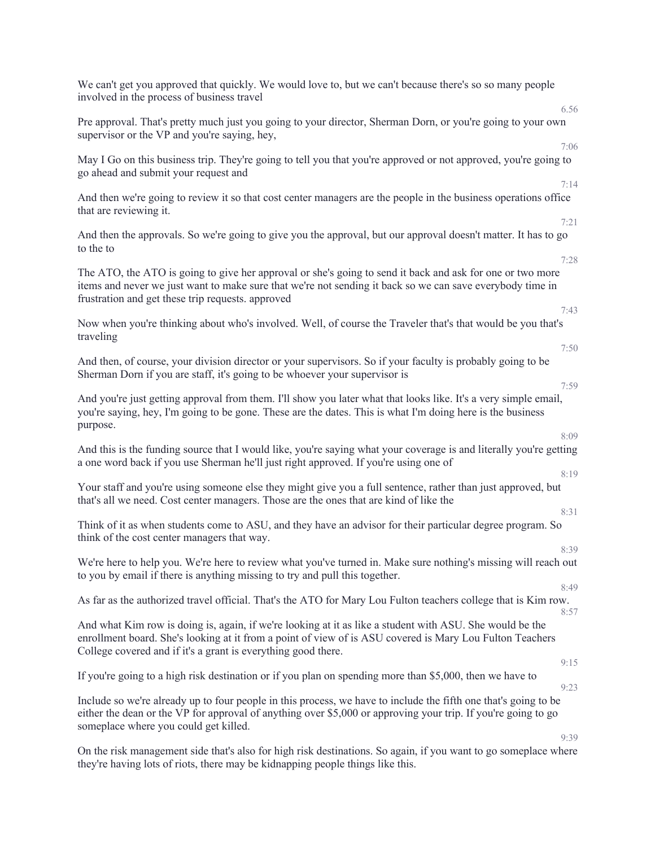| We can't get you approved that quickly. We would love to, but we can't because there's so so many people<br>involved in the process of business travel                                                                                                                                      |
|---------------------------------------------------------------------------------------------------------------------------------------------------------------------------------------------------------------------------------------------------------------------------------------------|
| 6.56<br>Pre approval. That's pretty much just you going to your director, Sherman Dorn, or you're going to your own<br>supervisor or the VP and you're saying, hey,                                                                                                                         |
| 7:06<br>May I Go on this business trip. They're going to tell you that you're approved or not approved, you're going to<br>go ahead and submit your request and                                                                                                                             |
| 7:14<br>And then we're going to review it so that cost center managers are the people in the business operations office<br>that are reviewing it.                                                                                                                                           |
| 7:21<br>And then the approvals. So we're going to give you the approval, but our approval doesn't matter. It has to go<br>to the to                                                                                                                                                         |
| 7:28<br>The ATO, the ATO is going to give her approval or she's going to send it back and ask for one or two more<br>items and never we just want to make sure that we're not sending it back so we can save everybody time in<br>frustration and get these trip requests. approved<br>7:43 |
| Now when you're thinking about who's involved. Well, of course the Traveler that's that would be you that's<br>traveling                                                                                                                                                                    |
| 7:50<br>And then, of course, your division director or your supervisors. So if your faculty is probably going to be<br>Sherman Dorn if you are staff, it's going to be whoever your supervisor is<br>7:59                                                                                   |
| And you're just getting approval from them. I'll show you later what that looks like. It's a very simple email,<br>you're saying, hey, I'm going to be gone. These are the dates. This is what I'm doing here is the business<br>purpose.                                                   |
| 8:09<br>And this is the funding source that I would like, you're saying what your coverage is and literally you're getting<br>a one word back if you use Sherman he'll just right approved. If you're using one of                                                                          |
| 8:19<br>Your staff and you're using someone else they might give you a full sentence, rather than just approved, but<br>that's all we need. Cost center managers. Those are the ones that are kind of like the                                                                              |
| 8:31<br>Think of it as when students come to ASU, and they have an advisor for their particular degree program. So<br>think of the cost center managers that way.                                                                                                                           |
| 8:39<br>We're here to help you. We're here to review what you've turned in. Make sure nothing's missing will reach out<br>to you by email if there is anything missing to try and pull this together.                                                                                       |
| 8:49<br>As far as the authorized travel official. That's the ATO for Mary Lou Fulton teachers college that is Kim row.<br>8:57                                                                                                                                                              |
| And what Kim row is doing is, again, if we're looking at it as like a student with ASU. She would be the<br>enrollment board. She's looking at it from a point of view of is ASU covered is Mary Lou Fulton Teachers<br>College covered and if it's a grant is everything good there.       |
| 9:15<br>If you're going to a high risk destination or if you plan on spending more than \$5,000, then we have to<br>9:23                                                                                                                                                                    |
| Include so we're already up to four people in this process, we have to include the fifth one that's going to be<br>either the dean or the VP for approval of anything over \$5,000 or approving your trip. If you're going to go<br>someplace where you could get killed.                   |
| 9:39<br>On the risk management side that's also for high risk destinations. So again, if you want to go someplace where                                                                                                                                                                     |
| they're having lots of riots, there may be kidnapping people things like this.                                                                                                                                                                                                              |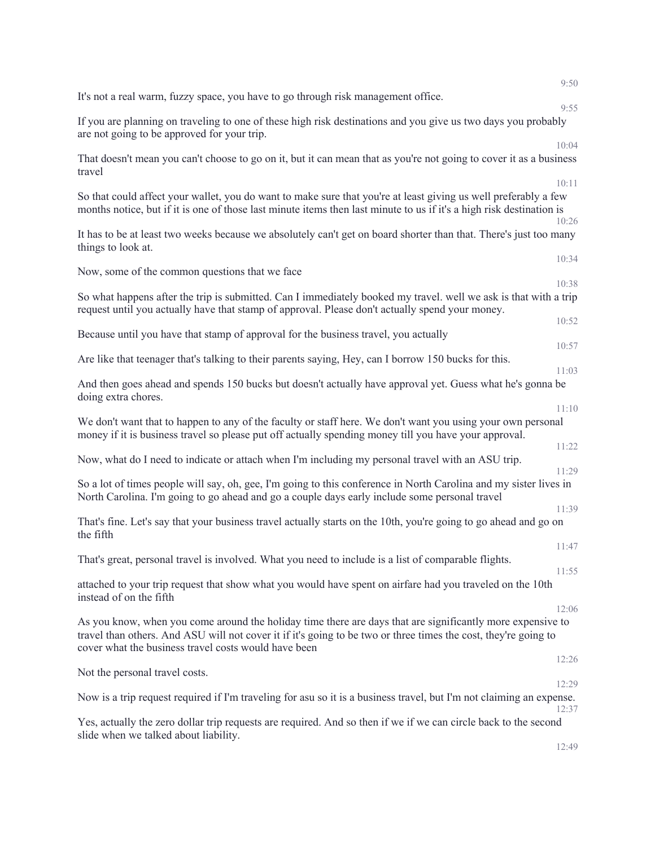| 9:20-<br>It's not a real warm, fuzzy space, you have to go through risk management office.                                                                                                                                                                                                     |  |
|------------------------------------------------------------------------------------------------------------------------------------------------------------------------------------------------------------------------------------------------------------------------------------------------|--|
| 9:55<br>If you are planning on traveling to one of these high risk destinations and you give us two days you probably<br>are not going to be approved for your trip.                                                                                                                           |  |
| 10:04<br>That doesn't mean you can't choose to go on it, but it can mean that as you're not going to cover it as a business<br>travel                                                                                                                                                          |  |
| 10:11<br>So that could affect your wallet, you do want to make sure that you're at least giving us well preferably a few<br>months notice, but if it is one of those last minute items then last minute to us if it's a high risk destination is<br>10:26                                      |  |
| It has to be at least two weeks because we absolutely can't get on board shorter than that. There's just too many<br>things to look at.                                                                                                                                                        |  |
| 10:34<br>Now, some of the common questions that we face                                                                                                                                                                                                                                        |  |
| 10:38<br>So what happens after the trip is submitted. Can I immediately booked my travel. well we ask is that with a trip<br>request until you actually have that stamp of approval. Please don't actually spend your money.                                                                   |  |
| 10:52<br>Because until you have that stamp of approval for the business travel, you actually                                                                                                                                                                                                   |  |
| 10:57<br>Are like that teenager that's talking to their parents saying, Hey, can I borrow 150 bucks for this.                                                                                                                                                                                  |  |
| 11:03<br>And then goes ahead and spends 150 bucks but doesn't actually have approval yet. Guess what he's gonna be<br>doing extra chores.                                                                                                                                                      |  |
| 11:10<br>We don't want that to happen to any of the faculty or staff here. We don't want you using your own personal<br>money if it is business travel so please put off actually spending money till you have your approval.                                                                  |  |
| 11:22<br>Now, what do I need to indicate or attach when I'm including my personal travel with an ASU trip.                                                                                                                                                                                     |  |
| 11:29<br>So a lot of times people will say, oh, gee, I'm going to this conference in North Carolina and my sister lives in<br>North Carolina. I'm going to go ahead and go a couple days early include some personal travel                                                                    |  |
| 11:39<br>That's fine. Let's say that your business travel actually starts on the 10th, you're going to go ahead and go on<br>the fifth                                                                                                                                                         |  |
| 11:47<br>That's great, personal travel is involved. What you need to include is a list of comparable flights.                                                                                                                                                                                  |  |
| 11:55<br>attached to your trip request that show what you would have spent on airfare had you traveled on the 10th<br>instead of on the fifth                                                                                                                                                  |  |
| 12:06<br>As you know, when you come around the holiday time there are days that are significantly more expensive to<br>travel than others. And ASU will not cover it if it's going to be two or three times the cost, they're going to<br>cover what the business travel costs would have been |  |
| 12:26<br>Not the personal travel costs.                                                                                                                                                                                                                                                        |  |
| 12:29<br>Now is a trip request required if I'm traveling for asu so it is a business travel, but I'm not claiming an expense.                                                                                                                                                                  |  |
| 12:37<br>Yes, actually the zero dollar trip requests are required. And so then if we if we can circle back to the second                                                                                                                                                                       |  |
| slide when we talked about liability.<br>12:49                                                                                                                                                                                                                                                 |  |

9:50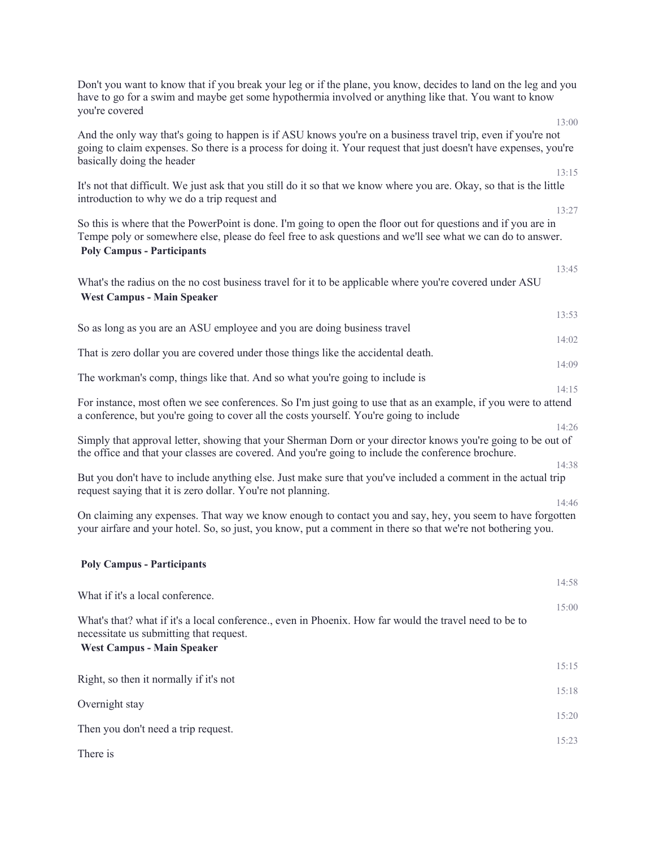| Don't you want to know that if you break your leg or if the plane, you know, decides to land on the leg and you<br>have to go for a swim and maybe get some hypothermia involved or anything like that. You want to know<br>you're covered                      |
|-----------------------------------------------------------------------------------------------------------------------------------------------------------------------------------------------------------------------------------------------------------------|
| 13:00                                                                                                                                                                                                                                                           |
| And the only way that's going to happen is if ASU knows you're on a business travel trip, even if you're not<br>going to claim expenses. So there is a process for doing it. Your request that just doesn't have expenses, you're<br>basically doing the header |
| 13:15                                                                                                                                                                                                                                                           |
| It's not that difficult. We just ask that you still do it so that we know where you are. Okay, so that is the little<br>introduction to why we do a trip request and                                                                                            |
| 13:27<br>So this is where that the PowerPoint is done. I'm going to open the floor out for questions and if you are in                                                                                                                                          |
| Tempe poly or somewhere else, please do feel free to ask questions and we'll see what we can do to answer.<br><b>Poly Campus - Participants</b>                                                                                                                 |
| 13:45                                                                                                                                                                                                                                                           |
| What's the radius on the no cost business travel for it to be applicable where you're covered under ASU<br><b>West Campus - Main Speaker</b>                                                                                                                    |
| 13:53                                                                                                                                                                                                                                                           |
| So as long as you are an ASU employee and you are doing business travel                                                                                                                                                                                         |
| 14:02<br>That is zero dollar you are covered under those things like the accidental death.                                                                                                                                                                      |
| 14:09                                                                                                                                                                                                                                                           |
| The workman's comp, things like that. And so what you're going to include is                                                                                                                                                                                    |
| 14:15<br>For instance, most often we see conferences. So I'm just going to use that as an example, if you were to attend                                                                                                                                        |
| a conference, but you're going to cover all the costs yourself. You're going to include                                                                                                                                                                         |
| 14:26<br>Simply that approval letter, showing that your Sherman Dorn or your director knows you're going to be out of                                                                                                                                           |
| the office and that your classes are covered. And you're going to include the conference brochure.                                                                                                                                                              |
| 14:38                                                                                                                                                                                                                                                           |
| But you don't have to include anything else. Just make sure that you've included a comment in the actual trip<br>request saying that it is zero dollar. You're not planning.                                                                                    |
| 14:46                                                                                                                                                                                                                                                           |
| On claiming any expenses. That way we know enough to contact you and say, hey, you seem to have forgotten<br>your airfare and your hotel. So, so just, you know, put a comment in there so that we're not bothering you.                                        |
| <b>Poly Campus - Participants</b>                                                                                                                                                                                                                               |
| 14:58<br>What if it's a local conference.                                                                                                                                                                                                                       |
| 15:00                                                                                                                                                                                                                                                           |
| What's that? what if it's a local conference, even in Phoenix. How far would the travel need to be to<br>necessitate us submitting that request.<br><b>West Campus - Main Speaker</b>                                                                           |
| 15:15                                                                                                                                                                                                                                                           |
| Right, so then it normally if it's not<br>15:18                                                                                                                                                                                                                 |
| Overnight stay<br>15:20                                                                                                                                                                                                                                         |
| Then you don't need a trip request.<br>15:23                                                                                                                                                                                                                    |
| There is                                                                                                                                                                                                                                                        |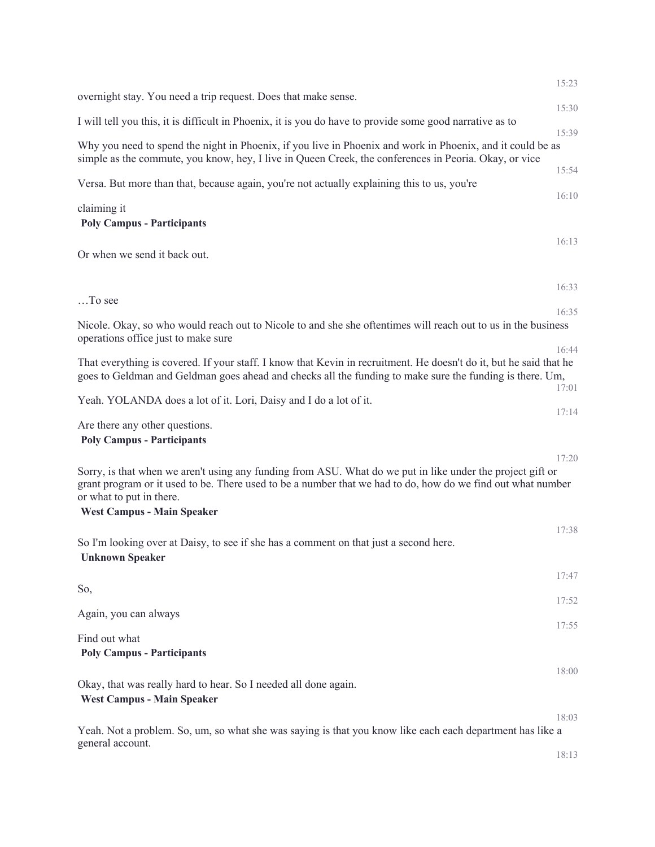|                                                                                                                                                                                                                                                                                            | 15:23          |
|--------------------------------------------------------------------------------------------------------------------------------------------------------------------------------------------------------------------------------------------------------------------------------------------|----------------|
| overnight stay. You need a trip request. Does that make sense.                                                                                                                                                                                                                             | 15:30          |
| I will tell you this, it is difficult in Phoenix, it is you do have to provide some good narrative as to                                                                                                                                                                                   |                |
| Why you need to spend the night in Phoenix, if you live in Phoenix and work in Phoenix, and it could be as<br>simple as the commute, you know, hey, I live in Queen Creek, the conferences in Peoria. Okay, or vice                                                                        | 15:39          |
| Versa. But more than that, because again, you're not actually explaining this to us, you're                                                                                                                                                                                                | 15:54<br>16:10 |
| claiming it<br><b>Poly Campus - Participants</b>                                                                                                                                                                                                                                           |                |
| Or when we send it back out.                                                                                                                                                                                                                                                               | 16:13          |
| To see                                                                                                                                                                                                                                                                                     | 16:33          |
| Nicole. Okay, so who would reach out to Nicole to and she she oftentimes will reach out to us in the business                                                                                                                                                                              | 16:35          |
| operations office just to make sure                                                                                                                                                                                                                                                        |                |
| That everything is covered. If your staff. I know that Kevin in recruitment. He doesn't do it, but he said that he<br>goes to Geldman and Geldman goes ahead and checks all the funding to make sure the funding is there. Um,                                                             | 16:44<br>17:01 |
| Yeah. YOLANDA does a lot of it. Lori, Daisy and I do a lot of it.                                                                                                                                                                                                                          |                |
| Are there any other questions.<br><b>Poly Campus - Participants</b>                                                                                                                                                                                                                        | 17:14          |
| Sorry, is that when we aren't using any funding from ASU. What do we put in like under the project gift or<br>grant program or it used to be. There used to be a number that we had to do, how do we find out what number<br>or what to put in there.<br><b>West Campus - Main Speaker</b> | 17:20          |
|                                                                                                                                                                                                                                                                                            | 17:38          |
| So I'm looking over at Daisy, to see if she has a comment on that just a second here.<br><b>Unknown Speaker</b>                                                                                                                                                                            |                |
| So,                                                                                                                                                                                                                                                                                        | 17:47          |
| Again, you can always                                                                                                                                                                                                                                                                      | 17:52          |
| Find out what                                                                                                                                                                                                                                                                              | 17:55          |
| <b>Poly Campus - Participants</b>                                                                                                                                                                                                                                                          |                |
| Okay, that was really hard to hear. So I needed all done again.<br><b>West Campus - Main Speaker</b>                                                                                                                                                                                       | 18:00          |
|                                                                                                                                                                                                                                                                                            | 18:03          |
| Yeah. Not a problem. So, um, so what she was saying is that you know like each each department has like a<br>general account.                                                                                                                                                              |                |
|                                                                                                                                                                                                                                                                                            | 18:13          |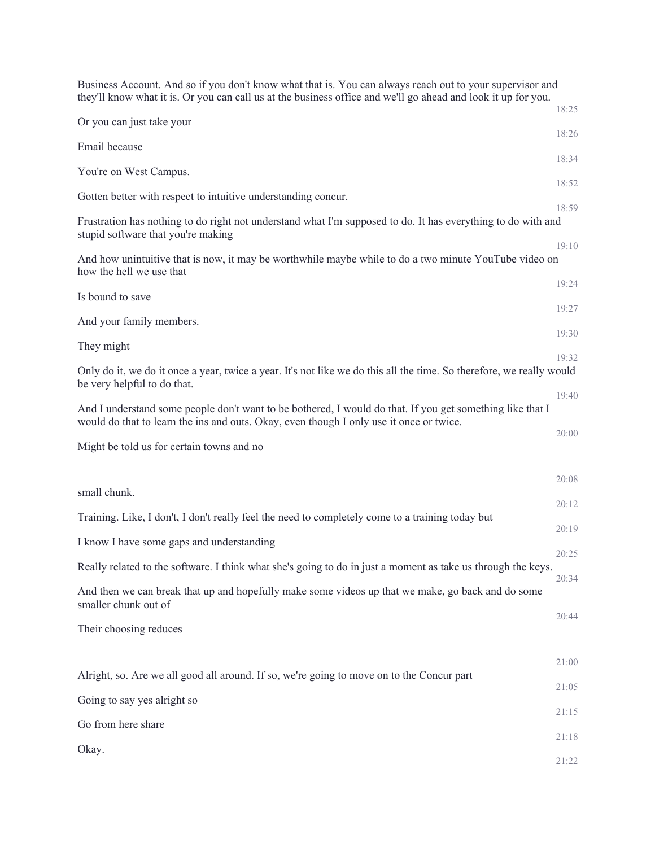| Business Account. And so if you don't know what that is. You can always reach out to your supervisor and<br>they'll know what it is. Or you can call us at the business office and we'll go ahead and look it up for you. | 18:25 |
|---------------------------------------------------------------------------------------------------------------------------------------------------------------------------------------------------------------------------|-------|
| Or you can just take your                                                                                                                                                                                                 |       |
| Email because                                                                                                                                                                                                             | 18:26 |
| You're on West Campus.                                                                                                                                                                                                    | 18:34 |
| Gotten better with respect to intuitive understanding concur.                                                                                                                                                             | 18:52 |
| Frustration has nothing to do right not understand what I'm supposed to do. It has everything to do with and<br>stupid software that you're making                                                                        | 18:59 |
| And how unintuitive that is now, it may be worthwhile maybe while to do a two minute YouTube video on<br>how the hell we use that                                                                                         | 19:10 |
| Is bound to save                                                                                                                                                                                                          | 19:24 |
| And your family members.                                                                                                                                                                                                  | 19:27 |
| They might                                                                                                                                                                                                                | 19:30 |
| Only do it, we do it once a year, twice a year. It's not like we do this all the time. So therefore, we really would<br>be very helpful to do that.                                                                       | 19:32 |
| And I understand some people don't want to be bothered, I would do that. If you get something like that I<br>would do that to learn the ins and outs. Okay, even though I only use it once or twice.                      | 19:40 |
| Might be told us for certain towns and no                                                                                                                                                                                 | 20:00 |
|                                                                                                                                                                                                                           | 20:08 |
| small chunk.                                                                                                                                                                                                              | 20:12 |
| Training. Like, I don't, I don't really feel the need to completely come to a training today but                                                                                                                          | 20:19 |
| I know I have some gaps and understanding                                                                                                                                                                                 |       |
| Really related to the software. I think what she's going to do in just a moment as take us through the keys.                                                                                                              | 20:25 |
| And then we can break that up and hopefully make some videos up that we make, go back and do some<br>smaller chunk out of                                                                                                 | 20:34 |
| Their choosing reduces                                                                                                                                                                                                    | 20:44 |
|                                                                                                                                                                                                                           | 21:00 |
| Alright, so. Are we all good all around. If so, we're going to move on to the Concur part                                                                                                                                 | 21:05 |
| Going to say yes alright so                                                                                                                                                                                               | 21:15 |
| Go from here share                                                                                                                                                                                                        | 21:18 |
| Okay.                                                                                                                                                                                                                     | 21:22 |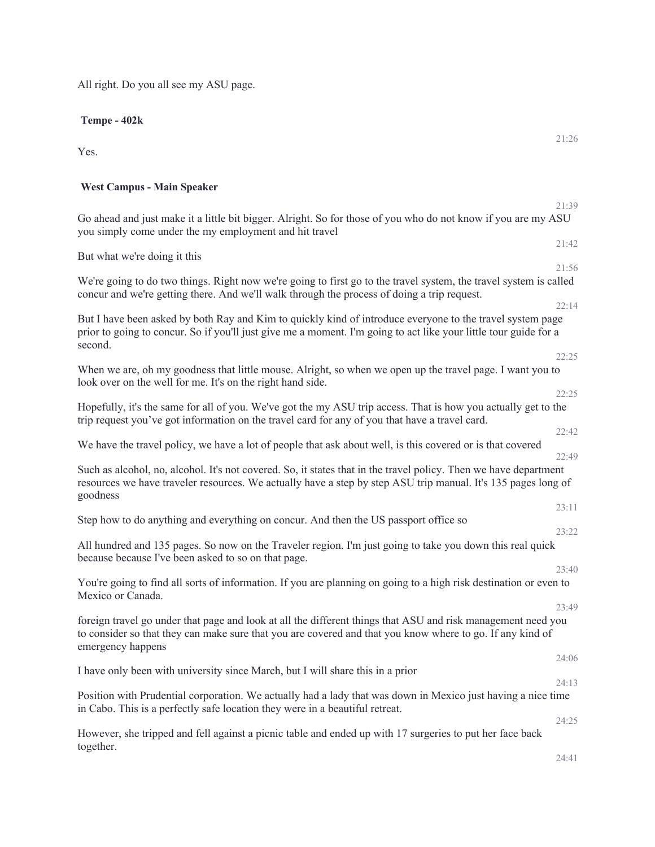All right. Do you all see my ASU page.

**Tempe - 402k**

Yes.

## **West Campus - Main Speaker**

21:39 Go ahead and just make it a little bit bigger. Alright. So for those of you who do not know if you are my ASU you simply come under the my employment and hit travel

But what we're doing it this

We're going to do two things. Right now we're going to first go to the travel system, the travel system is called concur and we're getting there. And we'll walk through the process of doing a trip request.

But I have been asked by both Ray and Kim to quickly kind of introduce everyone to the travel system page prior to going to concur. So if you'll just give me a moment. I'm going to act like your little tour guide for a second.

22:25 When we are, oh my goodness that little mouse. Alright, so when we open up the travel page. I want you to look over on the well for me. It's on the right hand side.

Hopefully, it's the same for all of you. We've got the my ASU trip access. That is how you actually get to the trip request you've got information on the travel card for any of you that have a travel card. 22:42

We have the travel policy, we have a lot of people that ask about well, is this covered or is that covered

22:49 Such as alcohol, no, alcohol. It's not covered. So, it states that in the travel policy. Then we have department resources we have traveler resources. We actually have a step by step ASU trip manual. It's 135 pages long of goodness  $23.11$ 

|                                                                                      | $\sim$ $\sim$ $\sim$ $\sim$ $\sim$ |
|--------------------------------------------------------------------------------------|------------------------------------|
| Step how to do anything and everything on concur. And then the US passport office so |                                    |
|                                                                                      | 23:22                              |

All hundred and 135 pages. So now on the Traveler region. I'm just going to take you down this real quick because because I've been asked to so on that page. 23:40

You're going to find all sorts of information. If you are planning on going to a high risk destination or even to Mexico or Canada.

foreign travel go under that page and look at all the different things that ASU and risk management need you to consider so that they can make sure that you are covered and that you know where to go. If any kind of emergency happens 24:06

I have only been with university since March, but I will share this in a prior

Position with Prudential corporation. We actually had a lady that was down in Mexico just having a nice time in Cabo. This is a perfectly safe location they were in a beautiful retreat.

However, she tripped and fell against a picnic table and ended up with 17 surgeries to put her face back together.

21:42

21:56

22:14

 $22.25$ 

23:49

24:13

24:25

24:41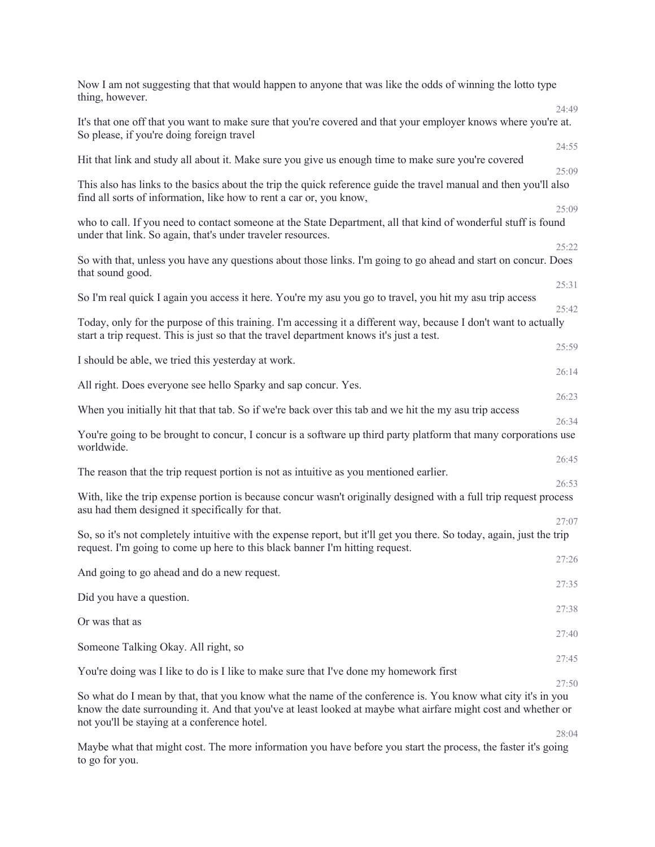| Now I am not suggesting that that would happen to anyone that was like the odds of winning the lotto type<br>thing, however.                                                                                                                                                 |                |
|------------------------------------------------------------------------------------------------------------------------------------------------------------------------------------------------------------------------------------------------------------------------------|----------------|
| It's that one off that you want to make sure that you're covered and that your employer knows where you're at.<br>So please, if you're doing foreign travel                                                                                                                  | 24:49          |
| Hit that link and study all about it. Make sure you give us enough time to make sure you're covered                                                                                                                                                                          | 24:55<br>25:09 |
| This also has links to the basics about the trip the quick reference guide the travel manual and then you'll also<br>find all sorts of information, like how to rent a car or, you know,                                                                                     |                |
| who to call. If you need to contact someone at the State Department, all that kind of wonderful stuff is found<br>under that link. So again, that's under traveler resources.                                                                                                | 25:09          |
| So with that, unless you have any questions about those links. I'm going to go ahead and start on concur. Does<br>that sound good.                                                                                                                                           | 25:22          |
| So I'm real quick I again you access it here. You're my asu you go to travel, you hit my asu trip access                                                                                                                                                                     | 25:31<br>25:42 |
| Today, only for the purpose of this training. I'm accessing it a different way, because I don't want to actually<br>start a trip request. This is just so that the travel department knows it's just a test.                                                                 |                |
| I should be able, we tried this yesterday at work.                                                                                                                                                                                                                           | 25:59<br>26:14 |
| All right. Does everyone see hello Sparky and sap concur. Yes.                                                                                                                                                                                                               | 26:23          |
| When you initially hit that that tab. So if we're back over this tab and we hit the my asu trip access                                                                                                                                                                       | 26:34          |
| You're going to be brought to concur, I concur is a software up third party platform that many corporations use<br>worldwide.                                                                                                                                                |                |
| The reason that the trip request portion is not as intuitive as you mentioned earlier.                                                                                                                                                                                       | 26:45          |
| With, like the trip expense portion is because concur wasn't originally designed with a full trip request process<br>asu had them designed it specifically for that.                                                                                                         | 26:53          |
| So, so it's not completely intuitive with the expense report, but it'll get you there. So today, again, just the trip<br>request. I'm going to come up here to this black banner I'm hitting request.                                                                        | 27:07          |
| And going to go ahead and do a new request.                                                                                                                                                                                                                                  | 27:26          |
| Did you have a question.                                                                                                                                                                                                                                                     | 27:35          |
| Or was that as                                                                                                                                                                                                                                                               | 27:38          |
|                                                                                                                                                                                                                                                                              | 27:40          |
| Someone Talking Okay. All right, so                                                                                                                                                                                                                                          | 27:45          |
| You're doing was I like to do is I like to make sure that I've done my homework first                                                                                                                                                                                        | 27:50          |
| So what do I mean by that, that you know what the name of the conference is. You know what city it's in you<br>know the date surrounding it. And that you've at least looked at maybe what airfare might cost and whether or<br>not you'll be staying at a conference hotel. |                |
|                                                                                                                                                                                                                                                                              | 28:04          |

Maybe what that might cost. The more information you have before you start the process, the faster it's going to go for you.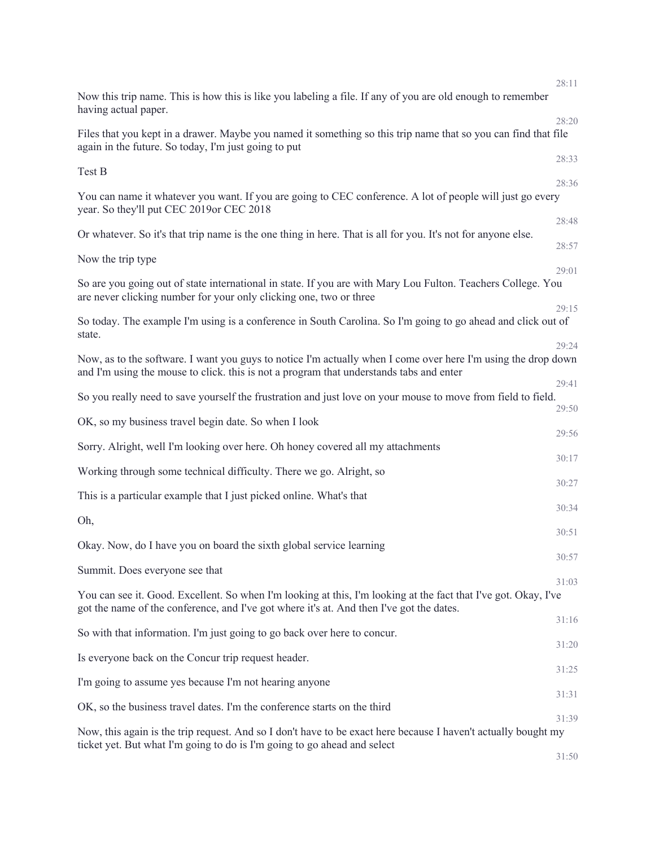|                                                                                                                                                                                                             | 28:11          |
|-------------------------------------------------------------------------------------------------------------------------------------------------------------------------------------------------------------|----------------|
| Now this trip name. This is how this is like you labeling a file. If any of you are old enough to remember<br>having actual paper.                                                                          |                |
| Files that you kept in a drawer. Maybe you named it something so this trip name that so you can find that file<br>again in the future. So today, I'm just going to put                                      | 28:20          |
| Test B                                                                                                                                                                                                      | 28:33          |
| You can name it whatever you want. If you are going to CEC conference. A lot of people will just go every<br>year. So they'll put CEC 2019or CEC 2018                                                       | 28:36          |
| Or whatever. So it's that trip name is the one thing in here. That is all for you. It's not for anyone else.                                                                                                | 28:48          |
| Now the trip type                                                                                                                                                                                           | 28:57          |
| So are you going out of state international in state. If you are with Mary Lou Fulton. Teachers College. You<br>are never clicking number for your only clicking one, two or three                          | 29:01<br>29:15 |
| So today. The example I'm using is a conference in South Carolina. So I'm going to go ahead and click out of<br>state.                                                                                      |                |
| Now, as to the software. I want you guys to notice I'm actually when I come over here I'm using the drop down<br>and I'm using the mouse to click. this is not a program that understands tabs and enter    | 29:24          |
| So you really need to save yourself the frustration and just love on your mouse to move from field to field.                                                                                                | 29:41          |
| OK, so my business travel begin date. So when I look                                                                                                                                                        | 29:50          |
| Sorry. Alright, well I'm looking over here. Oh honey covered all my attachments                                                                                                                             | 29:56          |
| Working through some technical difficulty. There we go. Alright, so                                                                                                                                         | 30:17          |
| This is a particular example that I just picked online. What's that                                                                                                                                         | 30:27          |
| Oh,                                                                                                                                                                                                         | 30:34          |
| Okay. Now, do I have you on board the sixth global service learning                                                                                                                                         | 30:51          |
| Summit. Does everyone see that                                                                                                                                                                              | 30:57          |
| You can see it. Good. Excellent. So when I'm looking at this, I'm looking at the fact that I've got. Okay, I've<br>got the name of the conference, and I've got where it's at. And then I've got the dates. | 31:03          |
| So with that information. I'm just going to go back over here to concur.                                                                                                                                    | 31:16          |
| Is everyone back on the Concur trip request header.                                                                                                                                                         | 31:20          |
| I'm going to assume yes because I'm not hearing anyone                                                                                                                                                      | 31:25          |
| OK, so the business travel dates. I'm the conference starts on the third                                                                                                                                    | 31:31          |
| Now, this again is the trip request. And so I don't have to be exact here because I haven't actually bought my                                                                                              | 31:39          |
| ticket yet. But what I'm going to do is I'm going to go ahead and select                                                                                                                                    | 31:50          |
|                                                                                                                                                                                                             |                |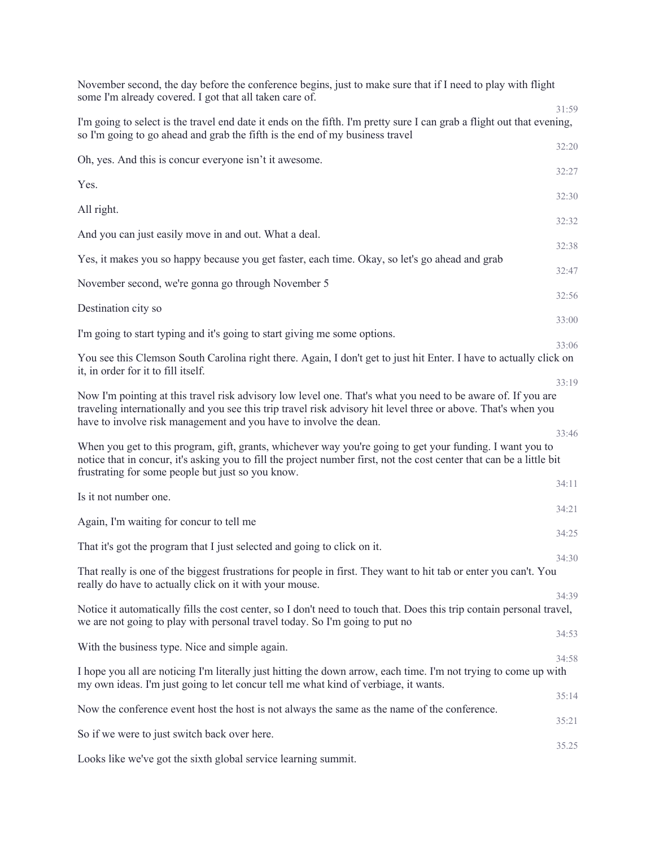| November second, the day before the conference begins, just to make sure that if I need to play with flight<br>some I'm already covered. I got that all taken care of.                                                                                                                              |       |
|-----------------------------------------------------------------------------------------------------------------------------------------------------------------------------------------------------------------------------------------------------------------------------------------------------|-------|
| I'm going to select is the travel end date it ends on the fifth. I'm pretty sure I can grab a flight out that evening,<br>so I'm going to go ahead and grab the fifth is the end of my business travel                                                                                              | 31:59 |
| Oh, yes. And this is concur everyone isn't it awesome.                                                                                                                                                                                                                                              | 32:20 |
| Yes.                                                                                                                                                                                                                                                                                                | 32:27 |
| All right.                                                                                                                                                                                                                                                                                          | 32:30 |
| And you can just easily move in and out. What a deal.                                                                                                                                                                                                                                               | 32:32 |
| Yes, it makes you so happy because you get faster, each time. Okay, so let's go ahead and grab                                                                                                                                                                                                      | 32:38 |
| November second, we're gonna go through November 5                                                                                                                                                                                                                                                  | 32:47 |
| Destination city so                                                                                                                                                                                                                                                                                 | 32:56 |
| I'm going to start typing and it's going to start giving me some options.                                                                                                                                                                                                                           | 33:00 |
|                                                                                                                                                                                                                                                                                                     | 33:06 |
| You see this Clemson South Carolina right there. Again, I don't get to just hit Enter. I have to actually click on<br>it, in order for it to fill itself.                                                                                                                                           |       |
| Now I'm pointing at this travel risk advisory low level one. That's what you need to be aware of. If you are<br>traveling internationally and you see this trip travel risk advisory hit level three or above. That's when you<br>have to involve risk management and you have to involve the dean. | 33:19 |
| When you get to this program, gift, grants, whichever way you're going to get your funding. I want you to<br>notice that in concur, it's asking you to fill the project number first, not the cost center that can be a little bit<br>frustrating for some people but just so you know.             | 33:46 |
| Is it not number one.                                                                                                                                                                                                                                                                               | 34:11 |
| Again, I'm waiting for concur to tell me                                                                                                                                                                                                                                                            | 34:21 |
| That it's got the program that I just selected and going to click on it.                                                                                                                                                                                                                            | 34:25 |
| That really is one of the biggest frustrations for people in first. They want to hit tab or enter you can't. You                                                                                                                                                                                    | 34:30 |
| really do have to actually click on it with your mouse.                                                                                                                                                                                                                                             |       |
| Notice it automatically fills the cost center, so I don't need to touch that. Does this trip contain personal travel,<br>we are not going to play with personal travel today. So I'm going to put no                                                                                                | 34:39 |
| With the business type. Nice and simple again.                                                                                                                                                                                                                                                      | 34:53 |
| I hope you all are noticing I'm literally just hitting the down arrow, each time. I'm not trying to come up with<br>my own ideas. I'm just going to let concur tell me what kind of verbiage, it wants.                                                                                             | 34:58 |
| Now the conference event host the host is not always the same as the name of the conference.                                                                                                                                                                                                        | 35:14 |
| So if we were to just switch back over here.                                                                                                                                                                                                                                                        | 35:21 |
|                                                                                                                                                                                                                                                                                                     | 35.25 |
| Looks like we've got the sixth global service learning summit.                                                                                                                                                                                                                                      |       |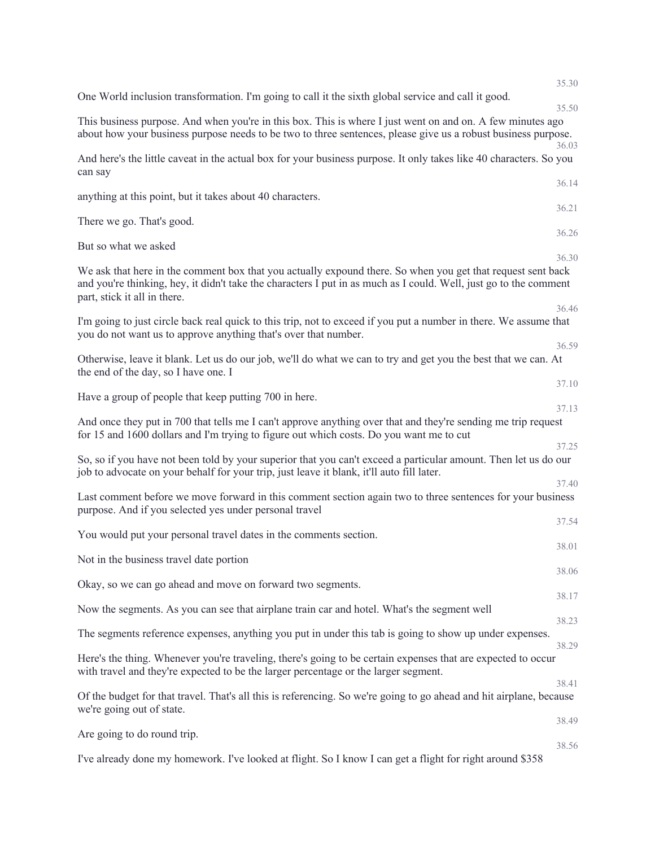|                                                                                                                                                                                                                                                                  | 35.30          |
|------------------------------------------------------------------------------------------------------------------------------------------------------------------------------------------------------------------------------------------------------------------|----------------|
| One World inclusion transformation. I'm going to call it the sixth global service and call it good.                                                                                                                                                              | 35.50          |
| This business purpose. And when you're in this box. This is where I just went on and on. A few minutes ago<br>about how your business purpose needs to be two to three sentences, please give us a robust business purpose.                                      | 36.03          |
| And here's the little caveat in the actual box for your business purpose. It only takes like 40 characters. So you<br>can say                                                                                                                                    |                |
| anything at this point, but it takes about 40 characters.                                                                                                                                                                                                        | 36.14<br>36.21 |
| There we go. That's good.                                                                                                                                                                                                                                        |                |
| But so what we asked                                                                                                                                                                                                                                             | 36.26          |
| We ask that here in the comment box that you actually expound there. So when you get that request sent back<br>and you're thinking, hey, it didn't take the characters I put in as much as I could. Well, just go to the comment<br>part, stick it all in there. | 36.30<br>36.46 |
| I'm going to just circle back real quick to this trip, not to exceed if you put a number in there. We assume that<br>you do not want us to approve anything that's over that number.                                                                             |                |
| Otherwise, leave it blank. Let us do our job, we'll do what we can to try and get you the best that we can. At<br>the end of the day, so I have one. I                                                                                                           | 36.59          |
| Have a group of people that keep putting 700 in here.                                                                                                                                                                                                            | 37.10          |
| And once they put in 700 that tells me I can't approve anything over that and they're sending me trip request<br>for 15 and 1600 dollars and I'm trying to figure out which costs. Do you want me to cut                                                         | 37.13          |
| So, so if you have not been told by your superior that you can't exceed a particular amount. Then let us do our<br>job to advocate on your behalf for your trip, just leave it blank, it'll auto fill later.                                                     | 37.25          |
| Last comment before we move forward in this comment section again two to three sentences for your business<br>purpose. And if you selected yes under personal travel                                                                                             | 37.40          |
| You would put your personal travel dates in the comments section.                                                                                                                                                                                                | 37.54          |
| Not in the business travel date portion                                                                                                                                                                                                                          | 38.01          |
| Okay, so we can go ahead and move on forward two segments.                                                                                                                                                                                                       | 38.06          |
| Now the segments. As you can see that airplane train car and hotel. What's the segment well                                                                                                                                                                      | 38.17          |
| The segments reference expenses, anything you put in under this tab is going to show up under expenses.                                                                                                                                                          | 38.23          |
|                                                                                                                                                                                                                                                                  | 38.29          |
| Here's the thing. Whenever you're traveling, there's going to be certain expenses that are expected to occur<br>with travel and they're expected to be the larger percentage or the larger segment.                                                              | 38.41          |
| Of the budget for that travel. That's all this is referencing. So we're going to go ahead and hit airplane, because<br>we're going out of state.                                                                                                                 |                |
| Are going to do round trip.                                                                                                                                                                                                                                      | 38.49          |
|                                                                                                                                                                                                                                                                  | 38.56          |

I've already done my homework. I've looked at flight. So I know I can get a flight for right around \$358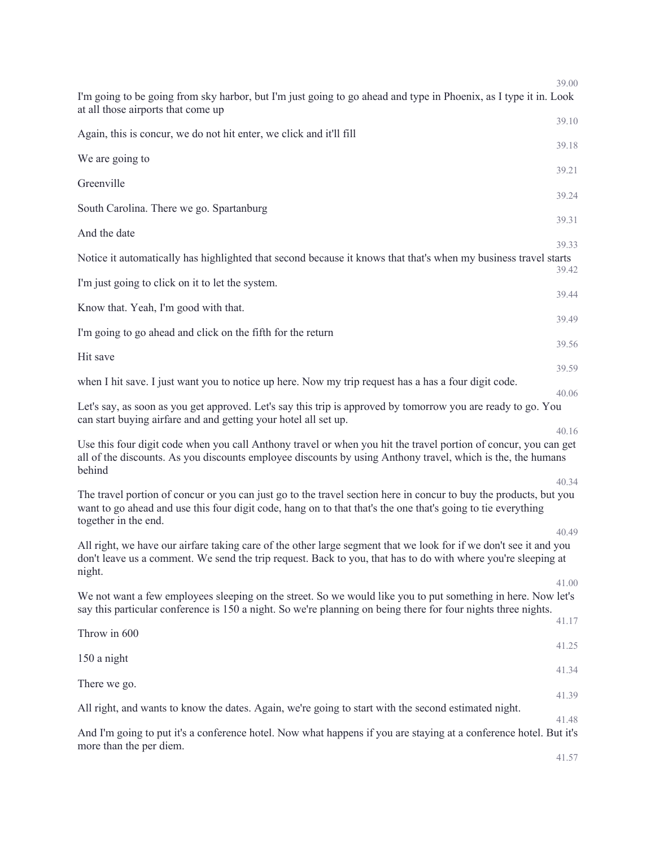| 39.00                                                                                                                                                                                                                                                              |  |
|--------------------------------------------------------------------------------------------------------------------------------------------------------------------------------------------------------------------------------------------------------------------|--|
| I'm going to be going from sky harbor, but I'm just going to go ahead and type in Phoenix, as I type it in. Look<br>at all those airports that come up<br>39.10                                                                                                    |  |
| Again, this is concur, we do not hit enter, we click and it'll fill                                                                                                                                                                                                |  |
| 39.18<br>We are going to                                                                                                                                                                                                                                           |  |
| 39.21<br>Greenville                                                                                                                                                                                                                                                |  |
| 39.24<br>South Carolina. There we go. Spartanburg                                                                                                                                                                                                                  |  |
| 39.31<br>And the date                                                                                                                                                                                                                                              |  |
| 39.33<br>Notice it automatically has highlighted that second because it knows that that's when my business travel starts<br>39.42                                                                                                                                  |  |
| I'm just going to click on it to let the system.<br>39.44                                                                                                                                                                                                          |  |
| Know that. Yeah, I'm good with that.<br>39.49                                                                                                                                                                                                                      |  |
| I'm going to go ahead and click on the fifth for the return                                                                                                                                                                                                        |  |
| 39.56<br>Hit save                                                                                                                                                                                                                                                  |  |
| 39.59<br>when I hit save. I just want you to notice up here. Now my trip request has a has a four digit code.                                                                                                                                                      |  |
| 40.06<br>Let's say, as soon as you get approved. Let's say this trip is approved by tomorrow you are ready to go. You<br>can start buying airfare and and getting your hotel all set up.                                                                           |  |
| 40.16<br>Use this four digit code when you call Anthony travel or when you hit the travel portion of concur, you can get<br>all of the discounts. As you discounts employee discounts by using Anthony travel, which is the, the humans<br>behind                  |  |
| 40.34<br>The travel portion of concur or you can just go to the travel section here in concur to buy the products, but you<br>want to go ahead and use this four digit code, hang on to that that's the one that's going to tie everything<br>together in the end. |  |
| 40.49<br>All right, we have our airfare taking care of the other large segment that we look for if we don't see it and you<br>don't leave us a comment. We send the trip request. Back to you, that has to do with where you're sleeping at<br>night.              |  |
| 41.00<br>We not want a few employees sleeping on the street. So we would like you to put something in here. Now let's<br>say this particular conference is 150 a night. So we're planning on being there for four nights three nights.                             |  |
| 41.17<br>Throw in 600                                                                                                                                                                                                                                              |  |
| 41.25<br>150 a night                                                                                                                                                                                                                                               |  |
| 41.34<br>There we go.                                                                                                                                                                                                                                              |  |
| 41.39<br>All right, and wants to know the dates. Again, we're going to start with the second estimated night.                                                                                                                                                      |  |
| 41.48<br>And I'm going to put it's a conference hotel. Now what happens if you are staying at a conference hotel. But it's                                                                                                                                         |  |
| more than the per diem.<br>41.57                                                                                                                                                                                                                                   |  |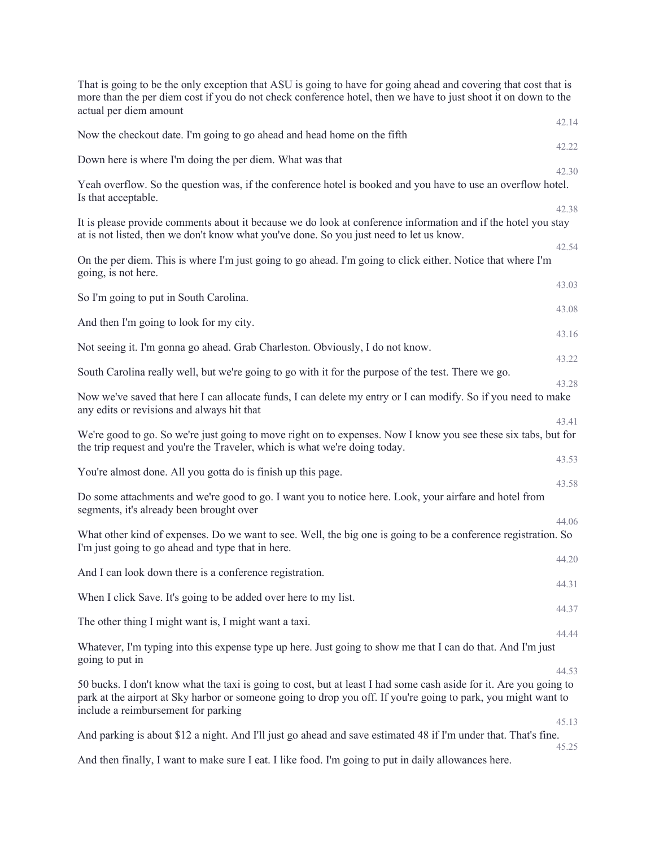| That is going to be the only exception that ASU is going to have for going ahead and covering that cost that is<br>more than the per diem cost if you do not check conference hotel, then we have to just shoot it on down to the<br>actual per diem amount                 |       |
|-----------------------------------------------------------------------------------------------------------------------------------------------------------------------------------------------------------------------------------------------------------------------------|-------|
| Now the checkout date. I'm going to go ahead and head home on the fifth                                                                                                                                                                                                     | 42.14 |
|                                                                                                                                                                                                                                                                             | 42.22 |
| Down here is where I'm doing the per diem. What was that                                                                                                                                                                                                                    | 42.30 |
| Yeah overflow. So the question was, if the conference hotel is booked and you have to use an overflow hotel.<br>Is that acceptable.                                                                                                                                         | 42.38 |
| It is please provide comments about it because we do look at conference information and if the hotel you stay<br>at is not listed, then we don't know what you've done. So you just need to let us know.                                                                    |       |
| On the per diem. This is where I'm just going to go ahead. I'm going to click either. Notice that where I'm<br>going, is not here.                                                                                                                                          | 42.54 |
| So I'm going to put in South Carolina.                                                                                                                                                                                                                                      | 43.03 |
| And then I'm going to look for my city.                                                                                                                                                                                                                                     | 43.08 |
|                                                                                                                                                                                                                                                                             | 43.16 |
| Not seeing it. I'm gonna go ahead. Grab Charleston. Obviously, I do not know.                                                                                                                                                                                               | 43.22 |
| South Carolina really well, but we're going to go with it for the purpose of the test. There we go.                                                                                                                                                                         | 43.28 |
| Now we've saved that here I can allocate funds, I can delete my entry or I can modify. So if you need to make<br>any edits or revisions and always hit that                                                                                                                 |       |
| We're good to go. So we're just going to move right on to expenses. Now I know you see these six tabs, but for<br>the trip request and you're the Traveler, which is what we're doing today.                                                                                | 43.41 |
| You're almost done. All you gotta do is finish up this page.                                                                                                                                                                                                                | 43.53 |
| Do some attachments and we're good to go. I want you to notice here. Look, your airfare and hotel from<br>segments, it's already been brought over                                                                                                                          | 43.58 |
| What other kind of expenses. Do we want to see. Well, the big one is going to be a conference registration. So<br>I'm just going to go ahead and type that in here.                                                                                                         | 44.06 |
|                                                                                                                                                                                                                                                                             | 44.20 |
| And I can look down there is a conference registration.                                                                                                                                                                                                                     | 44.31 |
| When I click Save. It's going to be added over here to my list.                                                                                                                                                                                                             | 44.37 |
| The other thing I might want is, I might want a taxi.                                                                                                                                                                                                                       | 44.44 |
| Whatever, I'm typing into this expense type up here. Just going to show me that I can do that. And I'm just<br>going to put in                                                                                                                                              |       |
| 50 bucks. I don't know what the taxi is going to cost, but at least I had some cash aside for it. Are you going to<br>park at the airport at Sky harbor or someone going to drop you off. If you're going to park, you might want to<br>include a reimbursement for parking | 44.53 |
| And parking is about \$12 a night. And I'll just go ahead and save estimated 48 if I'm under that. That's fine.                                                                                                                                                             | 45.13 |
| And then finally, I want to make sure I eat. I like food. I'm going to put in daily allowances here.                                                                                                                                                                        | 45.25 |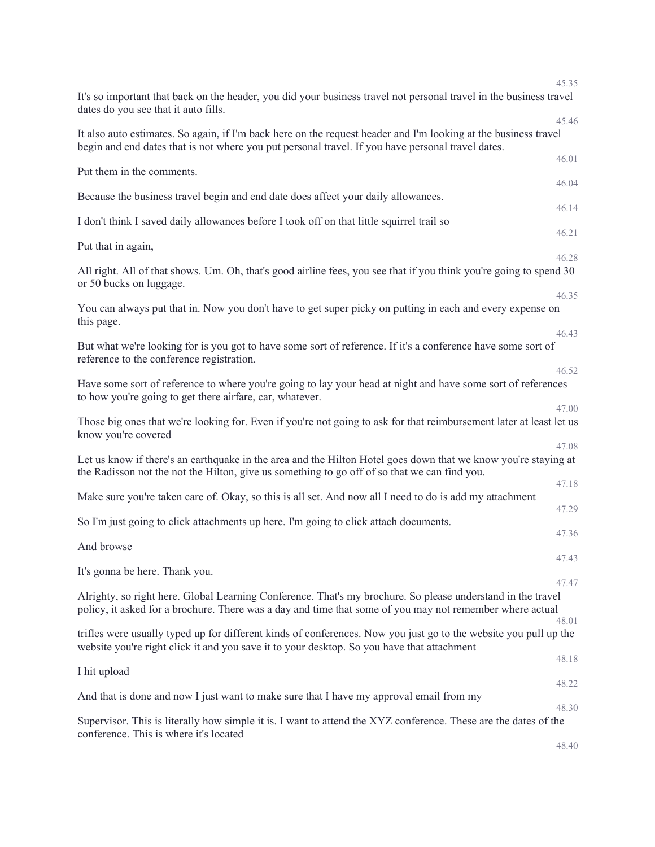|                                                                                                                                                                                                                         | 45.35 |
|-------------------------------------------------------------------------------------------------------------------------------------------------------------------------------------------------------------------------|-------|
| It's so important that back on the header, you did your business travel not personal travel in the business travel<br>dates do you see that it auto fills.                                                              |       |
| It also auto estimates. So again, if I'm back here on the request header and I'm looking at the business travel                                                                                                         | 45.46 |
| begin and end dates that is not where you put personal travel. If you have personal travel dates.                                                                                                                       | 46.01 |
| Put them in the comments.                                                                                                                                                                                               | 46.04 |
| Because the business travel begin and end date does affect your daily allowances.                                                                                                                                       | 46.14 |
| I don't think I saved daily allowances before I took off on that little squirrel trail so                                                                                                                               | 46.21 |
| Put that in again,                                                                                                                                                                                                      | 46.28 |
| All right. All of that shows. Um. Oh, that's good airline fees, you see that if you think you're going to spend 30<br>or 50 bucks on luggage.                                                                           |       |
|                                                                                                                                                                                                                         | 46.35 |
| You can always put that in. Now you don't have to get super picky on putting in each and every expense on<br>this page.                                                                                                 |       |
|                                                                                                                                                                                                                         | 46.43 |
| But what we're looking for is you got to have some sort of reference. If it's a conference have some sort of<br>reference to the conference registration.                                                               |       |
| Have some sort of reference to where you're going to lay your head at night and have some sort of references<br>to how you're going to get there airfare, car, whatever.                                                | 46.52 |
|                                                                                                                                                                                                                         | 47.00 |
| Those big ones that we're looking for. Even if you're not going to ask for that reimbursement later at least let us<br>know you're covered                                                                              |       |
| Let us know if there's an earthquake in the area and the Hilton Hotel goes down that we know you're staying at                                                                                                          | 47.08 |
| the Radisson not the not the Hilton, give us something to go off of so that we can find you.                                                                                                                            |       |
| Make sure you're taken care of. Okay, so this is all set. And now all I need to do is add my attachment                                                                                                                 | 47.18 |
|                                                                                                                                                                                                                         | 47.29 |
| So I'm just going to click attachments up here. I'm going to click attach documents.                                                                                                                                    | 47.36 |
| And browse                                                                                                                                                                                                              | 47.43 |
| It's gonna be here. Thank you.                                                                                                                                                                                          | 47.47 |
| Alrighty, so right here. Global Learning Conference. That's my brochure. So please understand in the travel<br>policy, it asked for a brochure. There was a day and time that some of you may not remember where actual |       |
|                                                                                                                                                                                                                         | 48.01 |
| trifles were usually typed up for different kinds of conferences. Now you just go to the website you pull up the<br>website you're right click it and you save it to your desktop. So you have that attachment          |       |
| I hit upload                                                                                                                                                                                                            | 48.18 |
| And that is done and now I just want to make sure that I have my approval email from my                                                                                                                                 | 48.22 |
|                                                                                                                                                                                                                         | 48.30 |
| Supervisor. This is literally how simple it is. I want to attend the XYZ conference. These are the dates of the<br>conference. This is where it's located                                                               |       |
|                                                                                                                                                                                                                         | 48.40 |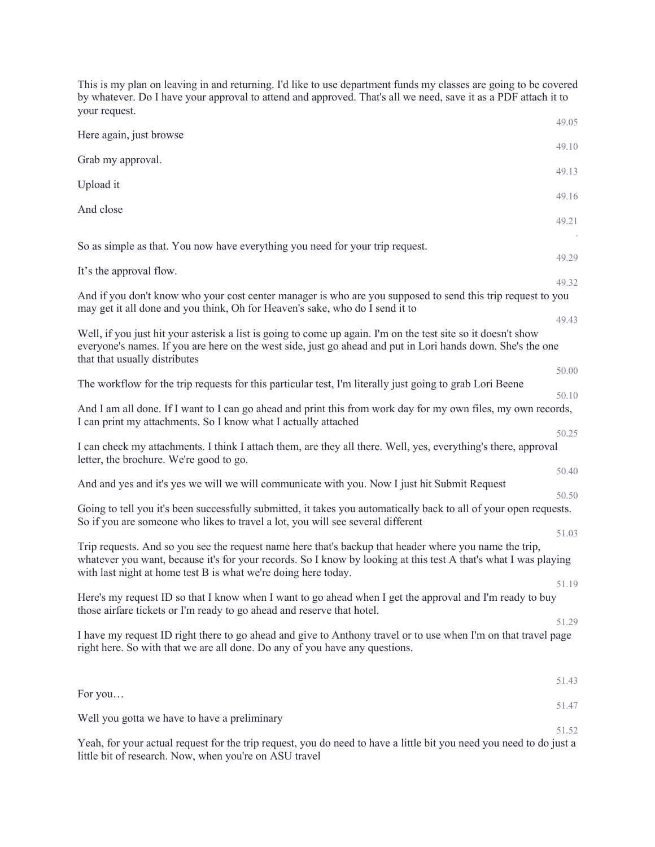This is my plan on leaving in and returning. I'd like to use department funds my classes are going to be covered by whatever. Do I have your approval to attend and approved. That's all we need, save it as a PDF attach it to your request. 49.05 Here again, just browse 49.10 Grab my approval. 49.13 Upload it 49.16 And close 49.21 . So as simple as that. You now have everything you need for your trip request. 49.29 It's the approval flow. 49.32 And if you don't know who your cost center manager is who are you supposed to send this trip request to you may get it all done and you think, Oh for Heaven's sake, who do I send it to 49.43 Well, if you just hit your asterisk a list is going to come up again. I'm on the test site so it doesn't show everyone's names. If you are here on the west side, just go ahead and put in Lori hands down. She's the one that that usually distributes 50.00 The workflow for the trip requests for this particular test, I'm literally just going to grab Lori Beene 50.10 And I am all done. If I want to I can go ahead and print this from work day for my own files, my own records, I can print my attachments. So I know what I actually attached 50.25 I can check my attachments. I think I attach them, are they all there. Well, yes, everything's there, approval letter, the brochure. We're good to go. 50.40 And and yes and it's yes we will we will communicate with you. Now I just hit Submit Request 50.50 Going to tell you it's been successfully submitted, it takes you automatically back to all of your open requests. So if you are someone who likes to travel a lot, you will see several different 51.03 Trip requests. And so you see the request name here that's backup that header where you name the trip, whatever you want, because it's for your records. So I know by looking at this test A that's what I was playing with last night at home test B is what we're doing here today. 51.19 Here's my request ID so that I know when I want to go ahead when I get the approval and I'm ready to buy those airfare tickets or I'm ready to go ahead and reserve that hotel. 51.29 I have my request ID right there to go ahead and give to Anthony travel or to use when I'm on that travel page right here. So with that we are all done. Do any of you have any questions. 51.43 For you… 51.47 Well you gotta we have to have a preliminary 51.52

Yeah, for your actual request for the trip request, you do need to have a little bit you need you need to do just a little bit of research. Now, when you're on ASU travel